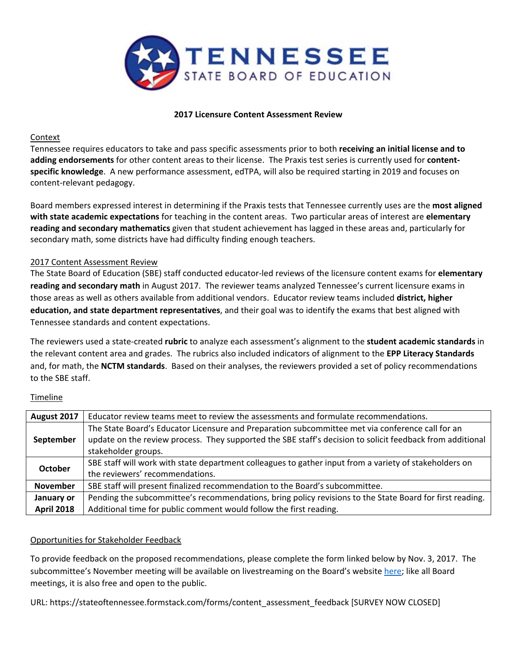

#### **2017 Licensure Content Assessment Review**

## Context

Tennessee requires educators to take and pass specific assessments prior to both **receiving an initial license and to adding endorsements** for other content areas to their license. The Praxis test series is currently used for **content‐ specific knowledge**. A new performance assessment, edTPA, will also be required starting in 2019 and focuses on content‐relevant pedagogy.

Board members expressed interest in determining if the Praxis tests that Tennessee currently uses are the **most aligned with state academic expectations** for teaching in the content areas. Two particular areas of interest are **elementary reading and secondary mathematics** given that student achievement has lagged in these areas and, particularly for secondary math, some districts have had difficulty finding enough teachers.

## 2017 Content Assessment Review

The State Board of Education (SBE) staff conducted educator‐led reviews of the licensure content exams for **elementary reading and secondary math** in August 2017. The reviewer teams analyzed Tennessee's current licensure exams in those areas as well as others available from additional vendors. Educator review teams included **district, higher education, and state department representatives**, and their goal was to identify the exams that best aligned with Tennessee standards and content expectations.

The reviewers used a state‐created **rubric** to analyze each assessment's alignment to the **student academic standards** in the relevant content area and grades. The rubrics also included indicators of alignment to the **EPP Literacy Standards** and, for math, the **NCTM standards**. Based on their analyses, the reviewers provided a set of policy recommendations to the SBE staff.

#### Timeline

| August 2017       | Educator review teams meet to review the assessments and formulate recommendations.                                                                                                                                                  |  |
|-------------------|--------------------------------------------------------------------------------------------------------------------------------------------------------------------------------------------------------------------------------------|--|
| September         | The State Board's Educator Licensure and Preparation subcommittee met via conference call for an<br>update on the review process. They supported the SBE staff's decision to solicit feedback from additional<br>stakeholder groups. |  |
| October           | SBE staff will work with state department colleagues to gather input from a variety of stakeholders on<br>the reviewers' recommendations.                                                                                            |  |
| <b>November</b>   | SBE staff will present finalized recommendation to the Board's subcommittee.                                                                                                                                                         |  |
| January or        | Pending the subcommittee's recommendations, bring policy revisions to the State Board for first reading.                                                                                                                             |  |
| <b>April 2018</b> | Additional time for public comment would follow the first reading.                                                                                                                                                                   |  |

## Opportunities for Stakeholder Feedback

To provide feedback on the proposed recommendations, please complete the form linked below by Nov. 3, 2017. The subcommittee's November meeting will be available on livestreaming on the Board's website here; like all Board meetings, it is also free and open to the public.

URL: https://stateoftennessee.formstack.com/forms/content\_assessment\_feedback [SURVEY NOW CLOSED]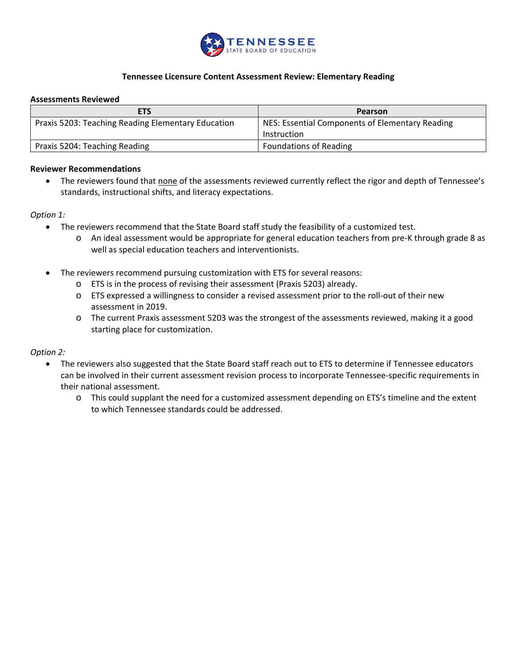

## **Tennessee Licensure Content Assessment Review: Elementary Reading**

#### **Assessments Reviewed**

| <b>ETS</b>                                         | Pearson                                         |  |
|----------------------------------------------------|-------------------------------------------------|--|
| Praxis 5203: Teaching Reading Elementary Education | NES: Essential Components of Elementary Reading |  |
|                                                    | Instruction                                     |  |
| Praxis 5204: Teaching Reading                      | <b>Foundations of Reading</b>                   |  |

#### **Reviewer Recommendations**

 The reviewers found that none of the assessments reviewed currently reflect the rigor and depth of Tennessee's standards, instructional shifts, and literacy expectations.

#### *Option 1:*

- The reviewers recommend that the State Board staff study the feasibility of a customized test.
	- o An ideal assessment would be appropriate for general education teachers from pre‐K through grade 8 as well as special education teachers and interventionists.
- The reviewers recommend pursuing customization with ETS for several reasons:
	- o ETS is in the process of revising their assessment (Praxis 5203) already.
	- o ETS expressed a willingness to consider a revised assessment prior to the roll‐out of their new assessment in 2019.
	- o The current Praxis assessment 5203 was the strongest of the assessments reviewed, making it a good starting place for customization.

## *Option 2:*

- The reviewers also suggested that the State Board staff reach out to ETS to determine if Tennessee educators can be involved in their current assessment revision process to incorporate Tennessee‐specific requirements in their national assessment.
	- o This could supplant the need for a customized assessment depending on ETS's timeline and the extent to which Tennessee standards could be addressed.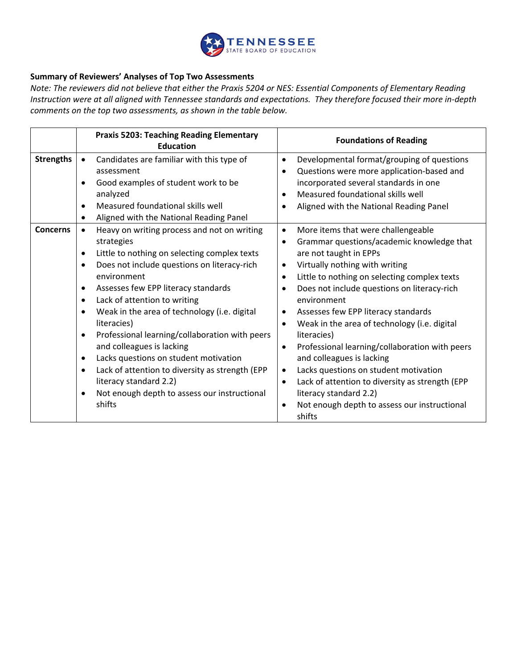

## **Summary of Reviewers' Analyses of Top Two Assessments**

*Note: The reviewers did not believe that either the Praxis 5204 or NES: Essential Components of Elementary Reading Instruction were at all aligned with Tennessee standards and expectations. They therefore focused their more in‐depth comments on the top two assessments, as shown in the table below.* 

|                  | <b>Praxis 5203: Teaching Reading Elementary</b><br><b>Education</b> | <b>Foundations of Reading</b>                                       |
|------------------|---------------------------------------------------------------------|---------------------------------------------------------------------|
| <b>Strengths</b> | Candidates are familiar with this type of                           | Developmental format/grouping of questions<br>$\bullet$             |
|                  | assessment                                                          | Questions were more application-based and<br>$\bullet$              |
|                  | Good examples of student work to be<br>$\bullet$                    | incorporated several standards in one                               |
|                  | analyzed                                                            | Measured foundational skills well                                   |
|                  | Measured foundational skills well<br>$\bullet$                      | Aligned with the National Reading Panel                             |
|                  | Aligned with the National Reading Panel<br>٠                        |                                                                     |
| <b>Concerns</b>  | Heavy on writing process and not on writing<br>$\bullet$            | More items that were challengeable<br>$\bullet$                     |
|                  | strategies                                                          | Grammar questions/academic knowledge that<br>$\bullet$              |
|                  | Little to nothing on selecting complex texts<br>$\bullet$           | are not taught in EPPs                                              |
|                  | Does not include questions on literacy-rich<br>$\bullet$            | Virtually nothing with writing<br>$\bullet$                         |
|                  | environment                                                         | Little to nothing on selecting complex texts<br>$\bullet$           |
|                  | Assesses few EPP literacy standards<br>$\bullet$                    | Does not include questions on literacy-rich<br>٠                    |
|                  | Lack of attention to writing<br>$\bullet$                           | environment                                                         |
|                  | Weak in the area of technology (i.e. digital<br>$\bullet$           | Assesses few EPP literacy standards<br>$\bullet$                    |
|                  | literacies)                                                         | Weak in the area of technology (i.e. digital<br>$\bullet$           |
|                  | Professional learning/collaboration with peers<br>$\bullet$         | literacies)                                                         |
|                  | and colleagues is lacking                                           | Professional learning/collaboration with peers<br>$\bullet$         |
|                  | Lacks questions on student motivation<br>٠                          | and colleagues is lacking                                           |
|                  | Lack of attention to diversity as strength (EPP<br>$\bullet$        | Lacks questions on student motivation<br>$\bullet$                  |
|                  | literacy standard 2.2)                                              | Lack of attention to diversity as strength (EPP<br>$\bullet$        |
|                  | Not enough depth to assess our instructional                        | literacy standard 2.2)                                              |
|                  | shifts                                                              | Not enough depth to assess our instructional<br>$\bullet$<br>shifts |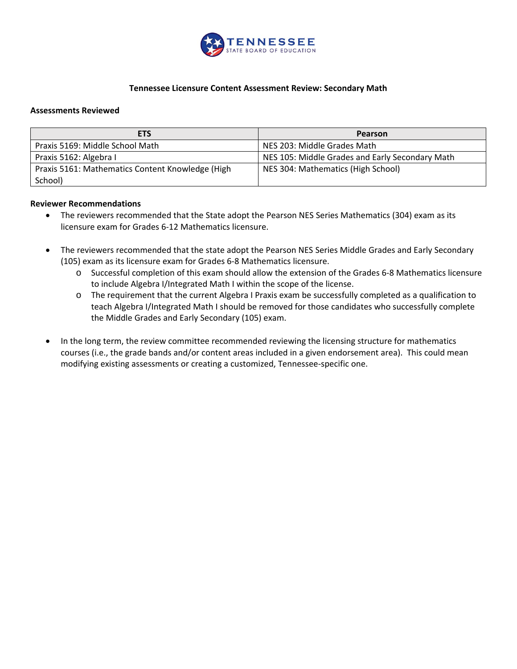

## **Tennessee Licensure Content Assessment Review: Secondary Math**

#### **Assessments Reviewed**

| <b>ETS</b>                                       | Pearson                                         |
|--------------------------------------------------|-------------------------------------------------|
| Praxis 5169: Middle School Math                  | NES 203: Middle Grades Math                     |
| Praxis 5162: Algebra I                           | NES 105: Middle Grades and Early Secondary Math |
| Praxis 5161: Mathematics Content Knowledge (High | NES 304: Mathematics (High School)              |
| School)                                          |                                                 |

#### **Reviewer Recommendations**

- The reviewers recommended that the State adopt the Pearson NES Series Mathematics (304) exam as its licensure exam for Grades 6‐12 Mathematics licensure.
- The reviewers recommended that the state adopt the Pearson NES Series Middle Grades and Early Secondary (105) exam as its licensure exam for Grades 6‐8 Mathematics licensure.
	- o Successful completion of this exam should allow the extension of the Grades 6‐8 Mathematics licensure to include Algebra I/Integrated Math I within the scope of the license.
	- o The requirement that the current Algebra I Praxis exam be successfully completed as a qualification to teach Algebra I/Integrated Math I should be removed for those candidates who successfully complete the Middle Grades and Early Secondary (105) exam.
- In the long term, the review committee recommended reviewing the licensing structure for mathematics courses (i.e., the grade bands and/or content areas included in a given endorsement area). This could mean modifying existing assessments or creating a customized, Tennessee‐specific one.